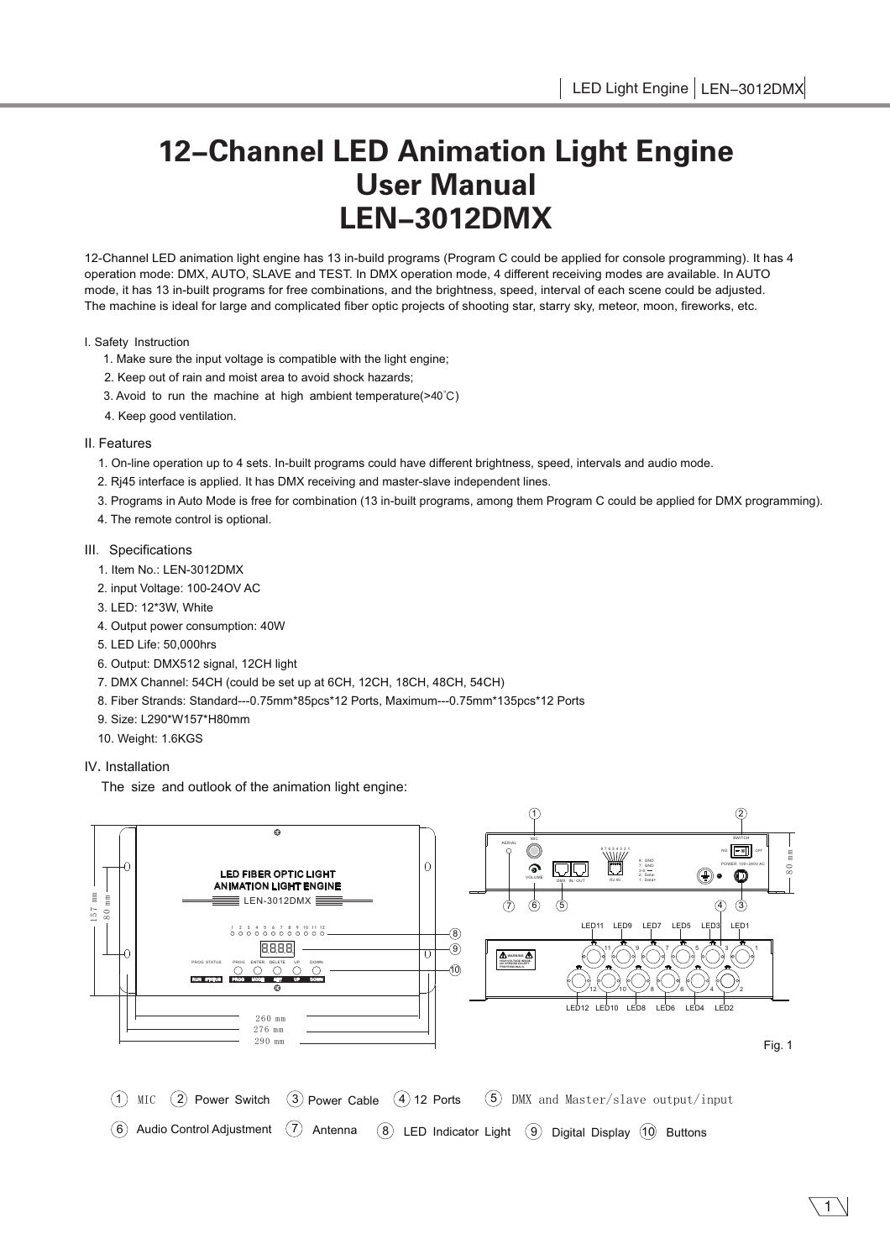# 12-Channel LED Animation Light Engine User Manual LEN-3012DMX

12-Channel LED animation light engine has 13 in-build programs (Program C could be applied for console programming). It has 4 operation mode: DMX, AUTO, SLAVE and TEST. In DMX operation mode, 4 different receiving modes are available. In AUTO mode, it has 13 in-built programs for free combinations, and the brightness, speed, interval of each scene could be adjusted. The machine is ideal for large and complicated fiber optic projects of shooting star, starry sky, meteor, moon, fireworks, etc.

## I. Safety Instruction

- 1. Make sure the input voltage is compatible with the light engine;
- 2. Keep out of rain and moist area to avoid shock hazards;
- 3. Avoid to run the machine at high ambient temperature(> $40^{\circ}$ C)
- 4. Keep good ventilation.

## II. Features

- 1. On-line operation up to 4 sets. In-built programs could have different brightness, speed, intervals and audio mode.
- 2. Rj45 interface is applied. It has DMX receiving and master-slave independent lines.
- 3. Programs in Auto Mode is free for combination (13 in-built programs, among them Program C could be applied for DMX programming).
- 4. The remote control is optional.

# III. Specifications

- 1. Item No.: LEN-3012DMX
- 2. input Voltage: 100-24OV AC
- 3. LED: 12\*3W, White
- 4. Output power consumption: 40W
- 5. LED Life: 50,000hrs
- 6. Output: DMX512 signal, 12CH light
- 7. DMX Channel: 54CH (could be set up at 6CH, 12CH, 18CH, 48CH, 54CH)
- 8. Fiber Strands: Standard---0.75mm\*85pcs\*12 Ports, Maximum---0.75mm\*135pcs\*12 Ports
- 9. Size: L290\*W157\*H80mm
- 10. Weight: 1.6KGS

# IV. Installation

The size and outlook of the animation light engine:



1 MIC  $(7)$  Antenna  $\overline{a}$  LED Indicator Light  $\overline{a}$  Digital Display  $\overline{a}$  Buttons  $(3)$  Power Cable  $(4)$  12 Ports  $(5)$  DMX and Master/slave output/input 6 Audio Control Adjustment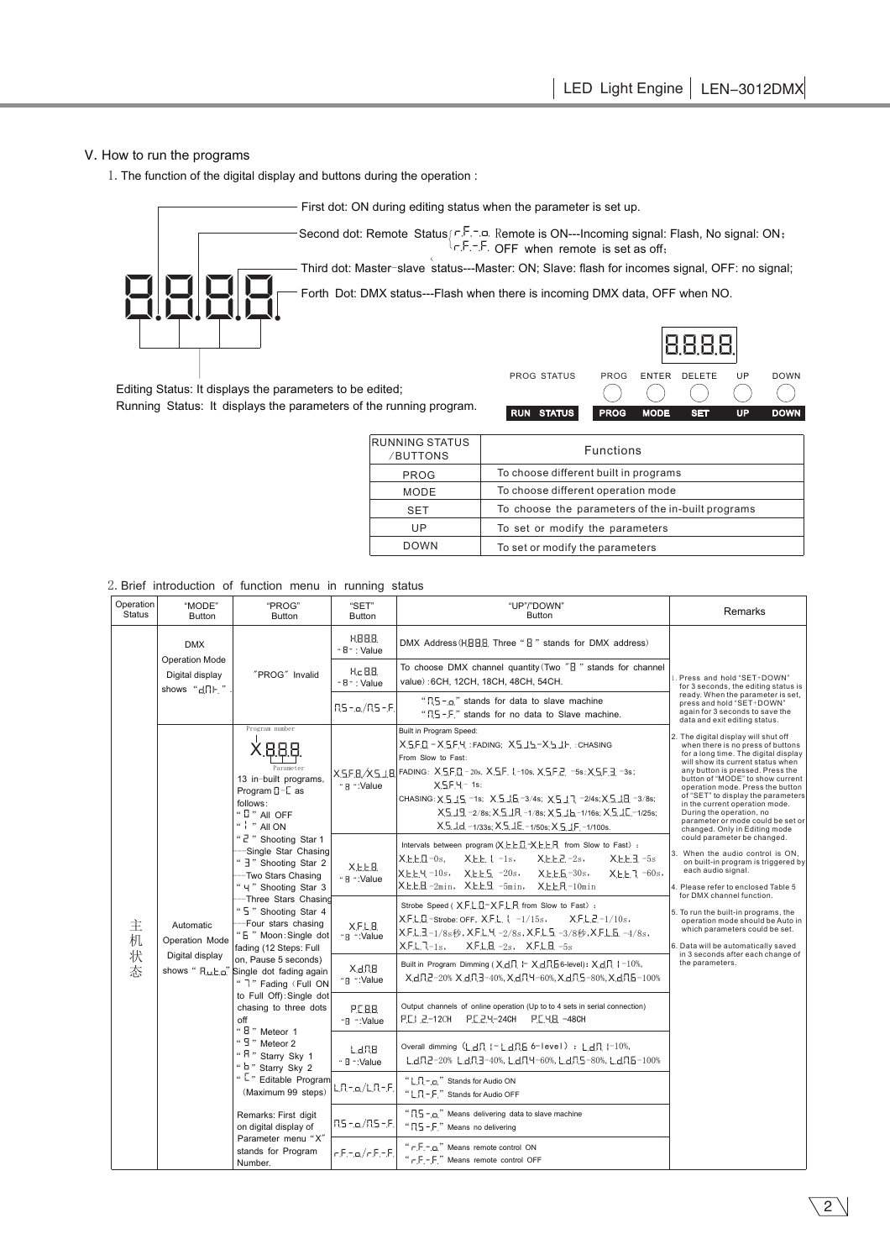# V. How to run the programs

1.The function of the digital display and buttons during the operation :



First dot: ON during editing status when the parameter is set up.

Second dot: Remote Status $( \ulcorner \cdot \ulcorner \cdot \ulcorner \ulcorner \ulcorner \blacksquare \mathbb{R} \mathsf{em}$ ote is ON---Incoming signal: Flash, No signal: ON; OFF when remote is set as off;

Third dot: Master-slave status---Master: ON; Slave: flash for incomes signal, OFF: no signal;

Forth Dot: DMX status---Flash when there is incoming DMX data, OFF when NO.

Editing Status: It displays the parameters to be edited;

Running Status: It displays the parameters of the running program.

*0-*. . . . *0-0-0-* PROG STATUS PROG ENTER DELETE UP DOWN € € RUN STATUS PROG MODE SET UP DOWN

| RUNNING STATUS<br>/BUTTONS | <b>Functions</b>                                  |
|----------------------------|---------------------------------------------------|
| <b>PROG</b>                | To choose different built in programs             |
| MODE                       | To choose different operation mode                |
| <b>SET</b>                 | To choose the parameters of the in-built programs |
| UP                         | To set or modify the parameters                   |
| <b>DOWN</b>                | To set or modify the parameters                   |

2.Brief introduction of function menu in running status

| Operation<br><b>Status</b>                                         | "MODE"<br><b>Button</b>                                                                                                                                                                                                                                                                                                                                                                                                                                                                                                                                                                                                                                                               | "PROG"<br><b>Button</b> | "SET"<br><b>Button</b>                                                                                                                                                                                                                                                                                                                                     | "UP"/"DOWN"<br><b>Button</b>                                                                                                                                                                                                                                                                                                                                                                                                                                                                                                                                                                                                                                                                                                                                                                                                                                  | Remarks                                                                                                                            |
|--------------------------------------------------------------------|---------------------------------------------------------------------------------------------------------------------------------------------------------------------------------------------------------------------------------------------------------------------------------------------------------------------------------------------------------------------------------------------------------------------------------------------------------------------------------------------------------------------------------------------------------------------------------------------------------------------------------------------------------------------------------------|-------------------------|------------------------------------------------------------------------------------------------------------------------------------------------------------------------------------------------------------------------------------------------------------------------------------------------------------------------------------------------------------|---------------------------------------------------------------------------------------------------------------------------------------------------------------------------------------------------------------------------------------------------------------------------------------------------------------------------------------------------------------------------------------------------------------------------------------------------------------------------------------------------------------------------------------------------------------------------------------------------------------------------------------------------------------------------------------------------------------------------------------------------------------------------------------------------------------------------------------------------------------|------------------------------------------------------------------------------------------------------------------------------------|
|                                                                    | <b>DMX</b><br><b>Operation Mode</b><br>Digital display<br>shows "dnh."                                                                                                                                                                                                                                                                                                                                                                                                                                                                                                                                                                                                                | "PROG" Invalid          | H.88.8.<br>" <sup>B</sup> ": Value                                                                                                                                                                                                                                                                                                                         | DMX Address (HBBB Three "B" stands for DMX address)                                                                                                                                                                                                                                                                                                                                                                                                                                                                                                                                                                                                                                                                                                                                                                                                           |                                                                                                                                    |
|                                                                    |                                                                                                                                                                                                                                                                                                                                                                                                                                                                                                                                                                                                                                                                                       |                         | H <sub>c</sub> 8.8<br>$48$ ": Value                                                                                                                                                                                                                                                                                                                        | To choose DMX channel quantity (Two "B" stands for channel<br>value): 6CH, 12CH, 18CH, 48CH, 54CH.                                                                                                                                                                                                                                                                                                                                                                                                                                                                                                                                                                                                                                                                                                                                                            | 1. Press and hold "SET+DOWN"<br>for 3 seconds, the editing status is                                                               |
|                                                                    |                                                                                                                                                                                                                                                                                                                                                                                                                                                                                                                                                                                                                                                                                       |                         | RS-.o./RS-.F.                                                                                                                                                                                                                                                                                                                                              | " $\Gamma$ [5 - $\Omega$ " stands for data to slave machine<br>"IS-F" stands for no data to Slave machine.                                                                                                                                                                                                                                                                                                                                                                                                                                                                                                                                                                                                                                                                                                                                                    | ready. When the parameter is set,<br>press and hold "SET+DOWN"<br>again for 3 seconds to save the<br>data and exit editing status. |
| 主<br>Automatic<br>机<br>Operation Mode<br>状<br>Digital display<br>杰 | Program number<br>Parameter<br>13 in-built programs,<br>Program $\square$ - L as<br>follows:<br>" $[]$ " All OFF<br>$4$ $"$ All ON<br>" 2" Shooting Star 1<br>-Single Star Chasing<br>" 3" Shooting Star 2<br>-Two Stars Chasing<br>" 4" Shooting Star 3<br>--Three Stars Chasing<br>" 5 " Shooting Star 4<br>-Four stars chasing<br>" 5 " Moon: Single dot<br>fading (12 Steps: Full<br>on, Pause 5 seconds)<br>shows " Ru, L,a" Single dot fading again<br>" 7" Fading (Full ON<br>to Full Off): Single dot<br>chasing to three dots<br>off<br>" B " Meteor 1<br>" $\frac{0}{2}$ " Meteor 2<br>" R " Starry Sky 1<br>" b " Starry Sky 2<br>" Editable Program<br>(Maximum 99 steps) | "B ":Value              | Built in Program Speed:<br>XSFD-XSFH: FADING: XSJS-XSJF: : CHASING<br>From Slow to Fast:<br>X5F8/X518 FADING: X5F8-20s, X5F.1-10s, X5F2. -5s; X5F3. -3s;<br>$X 5F 4 - 1s$<br>CHASING: X 5 15 -1s; X 5 15 -3/4s; X 5 17 -2/4s; X 5 18 -3/8s;<br>X5.19-2/8s; X.5.1R -1/8s; X.5.1b -1/16s; X.5.1C -1/25s;<br>X.5.1d. -1/33s; X.5.1E. -1/50s; X.5.1F. -1/100s. | 2. The digital display will shut off<br>when there is no press of buttons<br>for a long time. The digital display<br>will show its current status when<br>any button is pressed. Press the<br>button of "MODE" to show current<br>operation mode. Press the button<br>of "SET" to display the parameters<br>in the current operation mode.<br>During the operation, no<br>parameter or mode could be set or<br>changed. Only in Editing mode<br>could parameter be changed.<br>3. When the audio control is ON,<br>on built-in program is triggered by<br>each audio signal.<br>4. Please refer to enclosed Table 5<br>for DMX channel function.<br>5. To run the built-in programs, the<br>operation mode should be Auto in<br>which parameters could be set.<br>6. Data will be automatically saved<br>in 3 seconds after each change of<br>the parameters. |                                                                                                                                    |
|                                                                    |                                                                                                                                                                                                                                                                                                                                                                                                                                                                                                                                                                                                                                                                                       | X.E.E.B.<br>" 8 ":Value | Intervals between program (X, L, L, L, L, L, L, F, From Slow to Fast) :<br>X.E.E. ( -1s,<br>XEEU-0s.<br>$X.E.E.2 - 2s$<br>$X.E.E.J. -5s$<br>XEEY-10s, XEES-20s, XEES-30s,<br>$X.E.E.7 - 60s$<br>$X.E.E.B.-2min, X.E.E.B.-5min, X.E.E.R-10min)$                                                                                                             |                                                                                                                                                                                                                                                                                                                                                                                                                                                                                                                                                                                                                                                                                                                                                                                                                                                               |                                                                                                                                    |
|                                                                    |                                                                                                                                                                                                                                                                                                                                                                                                                                                                                                                                                                                                                                                                                       | XFLB<br>"8 ":Value      | Strobe Speed ( XFLL-XFLR from Slow to Fast) :<br>XFLD-strobe: OFF, XFL, ↓ -1/15s,<br>$X.F.L.Z.-1/10s$<br>XFL3-1/8s秒, XFL4-2/8s, XFL5-3/8秒, XFL5-4/8s,<br>$XFL.7-1s$ , $XFL.B. -2s$ , $XFL.B. -5s$                                                                                                                                                          |                                                                                                                                                                                                                                                                                                                                                                                                                                                                                                                                                                                                                                                                                                                                                                                                                                                               |                                                                                                                                    |
|                                                                    |                                                                                                                                                                                                                                                                                                                                                                                                                                                                                                                                                                                                                                                                                       | X.d.B.<br>"8 ":Value    | Built in Program Dimming (Xd, H Xd, R, B6-level): Xd, H + 10%,<br>XdR2-20% XdR3-40%, XdR4-60%, XdR5-80%, XdR5-100%                                                                                                                                                                                                                                         |                                                                                                                                                                                                                                                                                                                                                                                                                                                                                                                                                                                                                                                                                                                                                                                                                                                               |                                                                                                                                    |
|                                                                    |                                                                                                                                                                                                                                                                                                                                                                                                                                                                                                                                                                                                                                                                                       | P.C.B.B.<br>"8 ":Value  | Output channels of online operation (Up to to 4 sets in serial connection)<br>P.E.I. 2-12CH P.E.2.4-24CH P.E.4.B -48CH                                                                                                                                                                                                                                     |                                                                                                                                                                                                                                                                                                                                                                                                                                                                                                                                                                                                                                                                                                                                                                                                                                                               |                                                                                                                                    |
|                                                                    |                                                                                                                                                                                                                                                                                                                                                                                                                                                                                                                                                                                                                                                                                       | L d.N.B.<br>" B ":Value | Overall dimming (L.d.R. I - L.d.R.5 6-level) : L.d.R. I-10%,<br>LdR2-20% LdR3-40%, LdR4-60%, LdR5-80%, LdR5-100%                                                                                                                                                                                                                                           |                                                                                                                                                                                                                                                                                                                                                                                                                                                                                                                                                                                                                                                                                                                                                                                                                                                               |                                                                                                                                    |
|                                                                    |                                                                                                                                                                                                                                                                                                                                                                                                                                                                                                                                                                                                                                                                                       | LR-.a/LR-.F.            | "L.R. - o." Stands for Audio ON<br>"L $\Pi$ - F " Stands for Audio OFF                                                                                                                                                                                                                                                                                     |                                                                                                                                                                                                                                                                                                                                                                                                                                                                                                                                                                                                                                                                                                                                                                                                                                                               |                                                                                                                                    |
|                                                                    | Remarks: First digit<br>on digital display of<br>Parameter menu "X"<br>stands for Program<br>Number.                                                                                                                                                                                                                                                                                                                                                                                                                                                                                                                                                                                  |                         | "[15 - o." Means delivering data to slave machine<br>$\lceil \frac{15}{5} - \frac{1}{15} \rceil \lceil \frac{15}{5} - \frac{1}{15} \rceil \rceil$ Means no delivering                                                                                                                                                                                      |                                                                                                                                                                                                                                                                                                                                                                                                                                                                                                                                                                                                                                                                                                                                                                                                                                                               |                                                                                                                                    |
|                                                                    |                                                                                                                                                                                                                                                                                                                                                                                                                                                                                                                                                                                                                                                                                       | $-5 - \alpha / -5 -5$   | " $r.F.$ - $a$ ." Means remote control ON<br>" $-F$ - $F$ ." Means remote control OFF                                                                                                                                                                                                                                                                      |                                                                                                                                                                                                                                                                                                                                                                                                                                                                                                                                                                                                                                                                                                                                                                                                                                                               |                                                                                                                                    |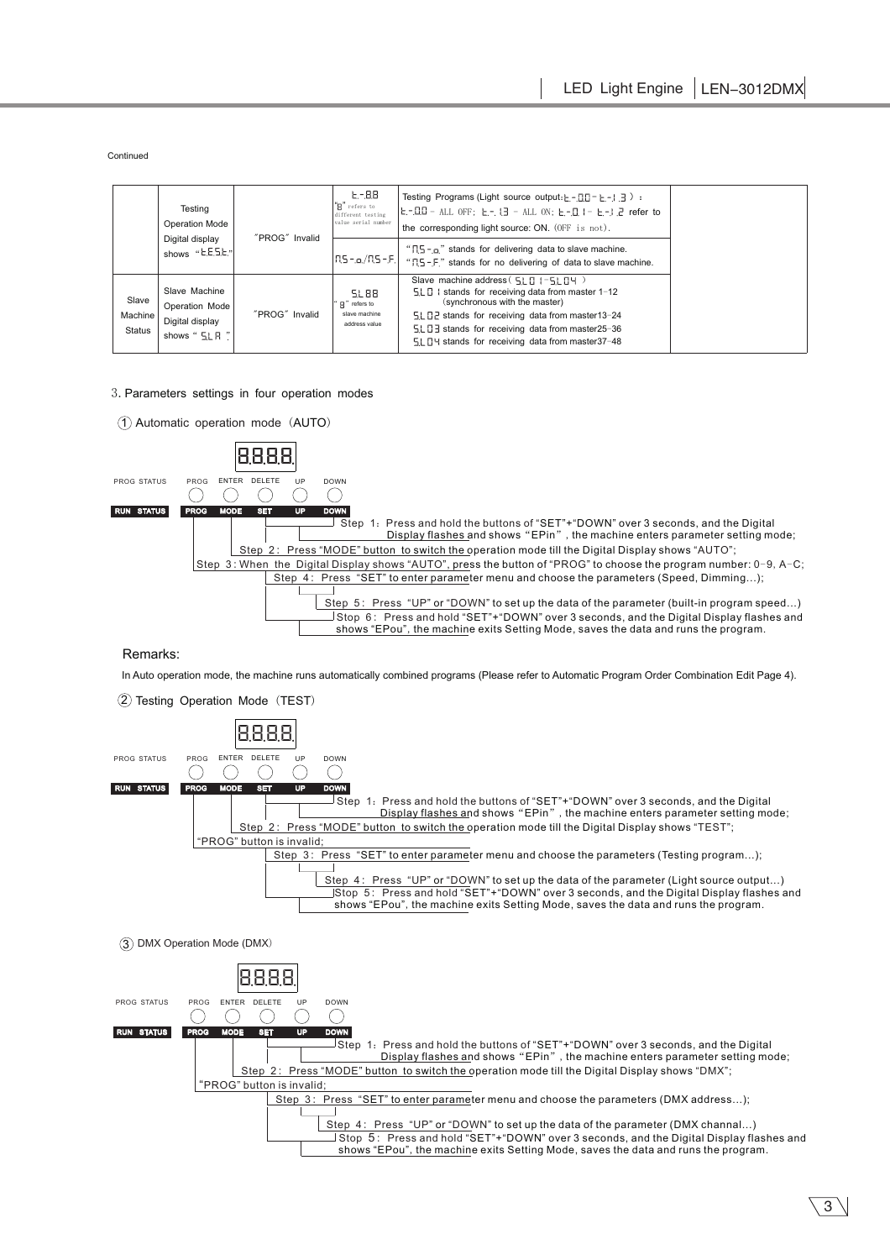Continued

|                          | Testing<br><b>Operation Mode</b><br>"PROG" Invalid<br>Digital display<br>shows "E.E.S.E." | $E - B.8$<br>"R" refers to<br>different testing<br>value serial number | Testing Programs (Light source output: $E - 110 - E - 113$ ) :<br>$E - QQ - ALL$ OFF; $E - QQ - ALL$ ON; $E - QQ - E - QQ$ refer to<br>the corresponding light source: ON. (OFF is not). |                                                                                                                                                            |
|--------------------------|-------------------------------------------------------------------------------------------|------------------------------------------------------------------------|------------------------------------------------------------------------------------------------------------------------------------------------------------------------------------------|------------------------------------------------------------------------------------------------------------------------------------------------------------|
|                          |                                                                                           | $ RS - o/RS - F_1 $                                                    | " $15 - 2$ " stands for delivering data to slave machine.<br>"R5-F" stands for no delivering of data to slave machine.                                                                   |                                                                                                                                                            |
| Slave                    | Slave Machine<br>Operation Mode                                                           |                                                                        | 51.88<br>P" refers to                                                                                                                                                                    | Slave machine address $(517 - 517 + 7)$<br>$5L0$   stands for receiving data from master 1-12<br>(synchronous with the master)                             |
| Machine<br><b>Status</b> | Digital display<br>shows " 5LR "                                                          | "PROG" Invalid                                                         | slave machine<br>address value                                                                                                                                                           | 51. 02 stands for receiving data from master13-24<br>51. 13 stands for receiving data from master25-36<br>51 14 stands for receiving data from master37-48 |

#### 3.Parameters settings in four operation modes

 $(1)$  Automatic operation mode  $(AUTO)$ 



#### Remarks:

In Auto operation mode, the machine runs automatically combined programs (Please refer to Automatic Program Order Combination Edit Page 4).





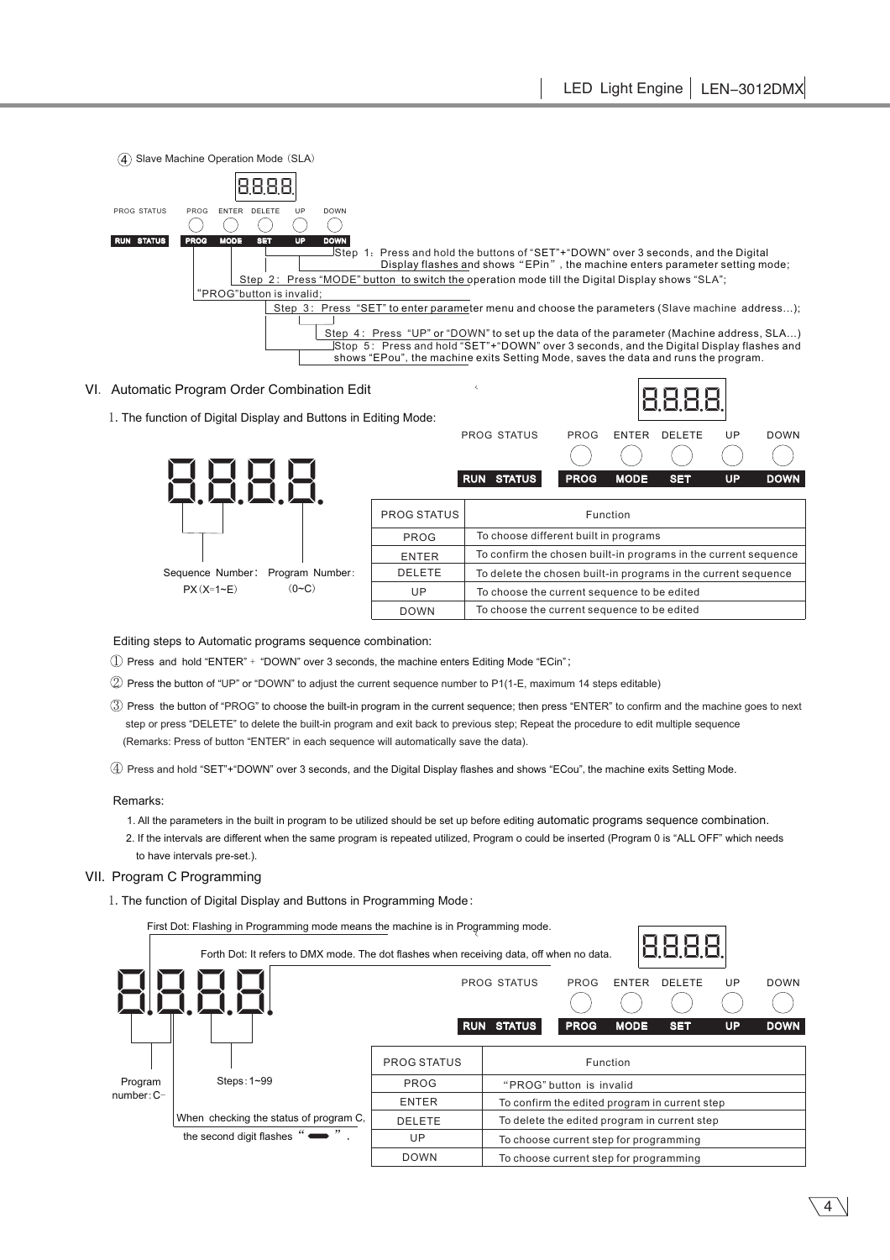

# VI. Automatic Program Order Combination Edit

1.The function of Digital Display and Buttons in Editing Mode:



### Editing steps to Automatic programs sequence combination:

 $\textcircled{\textsc{i}}$  Press and hold "ENTER" + "DOWN" over 3 seconds, the machine enters Editing Mode "ECin";

- $2$  Press the button of "UP" or "DOWN" to adjust the current sequence number to P1(1-E, maximum 14 steps editable)
- $\mathfrak D$  Press the button of "PROG" to choose the built-in program in the current sequence; then press "ENTER" to confirm and the machine goes to next step or press "DELETE" to delete the built-in program and exit back to previous step; Repeat the procedure to edit multiple sequence (Remarks: Press of button "ENTER" in each sequence will automatically save the data).

 $4$  Press and hold "SET"+"DOWN" over 3 seconds, and the Digital Display flashes and shows "ECou", the machine exits Setting Mode.

#### Remarks:

- 1. All the parameters in the built in program to be utilized should be set up before editing automatic programs sequence combination.
- 2. If the intervals are different when the same program is repeated utilized, Program o could be inserted (Program 0 is "ALL OFF" which needs to have intervals pre-set.).

## VII. Program C Programming

1.The function of Digital Display and Buttons in Programming Mode:

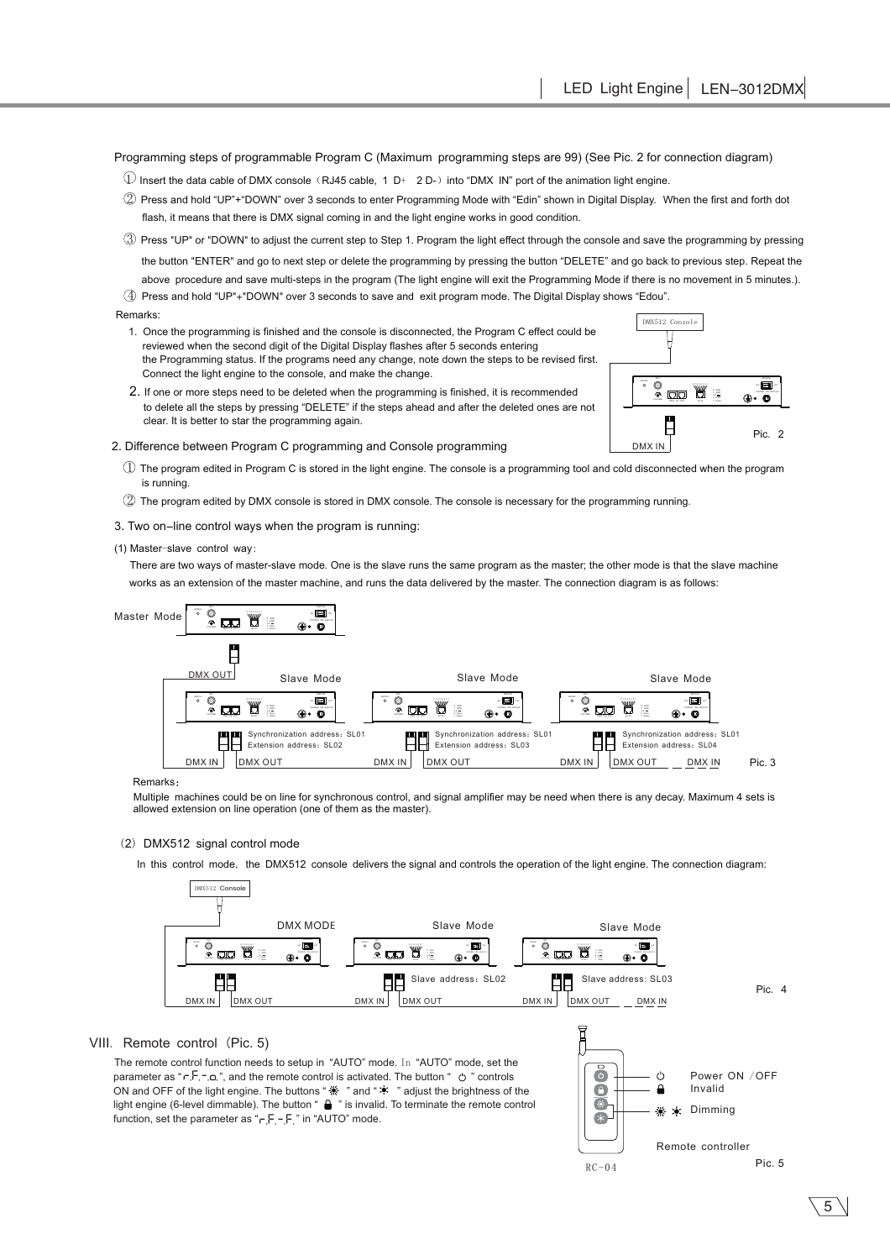Programming steps of programmable Program C (Maximum programming steps are 99) (See Pic. 2 for connection diagram)

- $\mathbb Q$  Insert the data cable of DMX console (RJ45 cable, 1 D+ 2 D-) into "DMX IN" port of the animation light engine.
- $\widehat{2}$  Press and hold "UP"+"DOWN" over 3 seconds to enter Programming Mode with "Edin" shown in Digital Display. When the first and forth dot flash, it means that there is DMX signal coming in and the light engine works in good condition.
- $\circled{3}$  Press "UP" or "DOWN" to adjust the current step to Step 1. Program the light effect through the console and save the programming by pressing the button "ENTER" and go to next step or delete the programming by pressing the button "DELETE" and go back to previous step. Repeat the above procedure and save multi-steps in the program (The light engine will exit the Programming Mode if there is no movement in 5 minutes.).  $4$  Press and hold "UP"+"DOWN" over 3 seconds to save and exit program mode. The Digital Display shows "Edou".

#### Remarks:

- 1. Once the programming is finished and the console is disconnected, the Program C effect could be reviewed when the second digit of the Digital Display flashes after 5 seconds entering the Programming status. If the programs need any change, note down the steps to be revised first. Connect the light engine to the console, and make the change.
- 2. If one or more steps need to be deleted when the programming is finished, it is recommended to delete all the steps by pressing "DELETE" if the steps ahead and after the deleted ones are not clear. It is better to star the programming again.

#### 2. Difference between Program C programming and Console programming

- $\mathbb D$  The program edited in Program C is stored in the light engine. The console is a programming tool and cold disconnected when the program is running.
- 2 The program edited by DMX console is stored in DMX console. The console is necessary for the programming running.
- 3. Two on-line control ways when the program is running:

#### (1) Master-slave control way:

There are two ways of master-slave mode. One is the slave runs the same program as the master; the other mode is that the slave machine works as an extension of the master machine, and runs the data delivered by the master. The connection diagram is as follows:



#### Remarks:

Multiple machines could be on line for synchronous control, and signal amplifier may be need when there is any decay. Maximum 4 sets is allowed extension on line operation (one of them as the master).

#### (2) DMX512 signal control mode

In this control mode, the DMX512 console delivers the signal and controls the operation of the light engine. The connection diagram:



## VIII. Remote control (Pic. 5)

The remote control function needs to setup in "AUTO" mode. In "AUTO" mode, set the " " parameter as ", and the remote control is activated. The button " controls ON and OFF of the light engine. The buttons " <sub>养</sub> " and "  $*$  " adjust the brightness of the light engine (6-level dimmable). The button "  $\bigoplus$  " is invalid. To terminate the remote control function, set the parameter as " $r F - F$ " in "AUTO" mode.



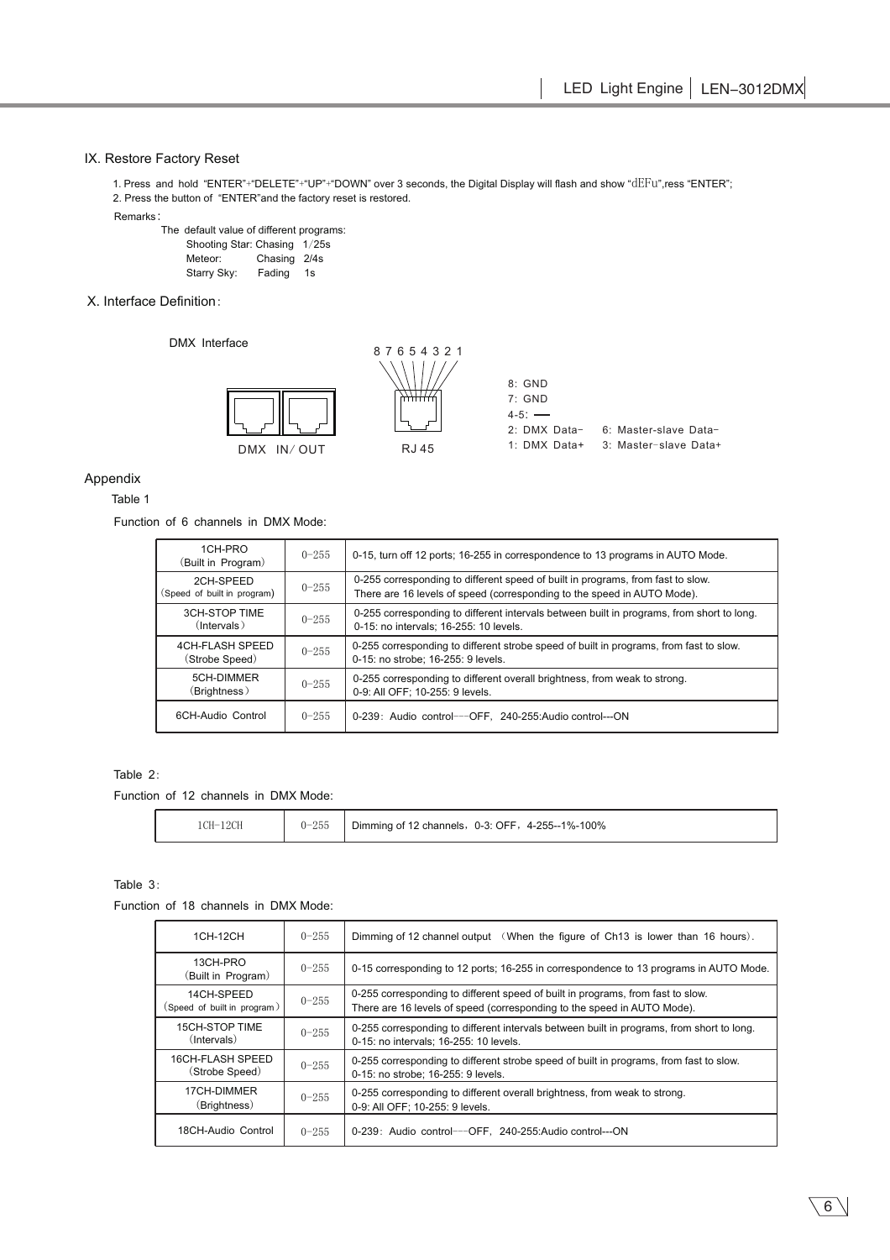# IX. Restore Factory Reset

1. Press and hold "ENTER"+"DELETE"+"UP"+"DOWN" over 3 seconds, the Digital Display will flash and show "dEFu",ress "ENTER"; 2. Press the button of "ENTER"and the factory reset is restored. Remarks:

The default value of different programs: Shooting Star: Chasing 1/25s Meteor: Chasing 2/4s Starry Sky: Fading 1s /

## X. Interface Definition:

DMX Interface



# Appendix

## Table 1

## Function of 6 channels in DMX Mode:

| 1CH-PRO<br>(Built in Program)            | $0 - 255$ | 0-15, turn off 12 ports; 16-255 in correspondence to 13 programs in AUTO Mode.                                                                             |
|------------------------------------------|-----------|------------------------------------------------------------------------------------------------------------------------------------------------------------|
| 2CH-SPFFD<br>(Speed of built in program) | $0 - 255$ | 0-255 corresponding to different speed of built in programs, from fast to slow.<br>There are 16 levels of speed (corresponding to the speed in AUTO Mode). |
| 3CH-STOP TIME<br>$($ Intervals $)$       | $0 - 255$ | 0-255 corresponding to different intervals between built in programs, from short to long.<br>0-15: no intervals; 16-255: 10 levels.                        |
| 4CH-FLASH SPEED<br>(Strobe Speed)        | $0 - 255$ | 0-255 corresponding to different strobe speed of built in programs, from fast to slow.<br>0-15: no strobe; 16-255: 9 levels.                               |
| 5CH-DIMMER<br>(Brightness)               | $0 - 255$ | 0-255 corresponding to different overall brightness, from weak to strong.<br>0-9: All OFF; 10-255: 9 levels.                                               |
| 6CH-Audio Control                        | $0 - 255$ | 0-239: Audio control---OFF, 240-255:Audio control---ON                                                                                                     |

# Table 2:

Function of 12 channels in DMX Mode:

|  | .19CL<br>$^{\circ}$ $^{\circ}$ U <sub>-</sub> .<br>14U.<br>IU. | $0 - 255$ | 4-255--1%-100%<br>OFF<br>Dimming of 12<br>$0 - 3:$<br>12 channels, |
|--|----------------------------------------------------------------|-----------|--------------------------------------------------------------------|
|--|----------------------------------------------------------------|-----------|--------------------------------------------------------------------|

## Table 3:

Function of 18 channels in DMX Mode:

| 1CH-12CH                                  | $0 - 255$ | Dimming of 12 channel output (When the figure of Ch13 is lower than 16 hours).                                                                             |
|-------------------------------------------|-----------|------------------------------------------------------------------------------------------------------------------------------------------------------------|
| 13CH-PRO<br>(Built in Program)            | $0 - 255$ | 0-15 corresponding to 12 ports; 16-255 in correspondence to 13 programs in AUTO Mode.                                                                      |
| 14CH-SPEED<br>(Speed of built in program) | $0 - 255$ | 0-255 corresponding to different speed of built in programs, from fast to slow.<br>There are 16 levels of speed (corresponding to the speed in AUTO Mode). |
| 15CH-STOP TIME<br>$($ Intervals $)$       | $0 - 255$ | 0-255 corresponding to different intervals between built in programs, from short to long.<br>0-15: no intervals; 16-255: 10 levels.                        |
| 16CH-FLASH SPEED<br>(Strobe Speed)        | $0 - 255$ | 0-255 corresponding to different strobe speed of built in programs, from fast to slow.<br>0-15: no strobe: 16-255: 9 levels.                               |
| 17CH-DIMMER<br>(Brightness)               | $0 - 255$ | 0-255 corresponding to different overall brightness, from weak to strong.<br>0-9: All OFF; 10-255: 9 levels.                                               |
| 18CH-Audio Control                        | $0 - 255$ | 0-239: Audio control---OFF, 240-255: Audio control---ON                                                                                                    |